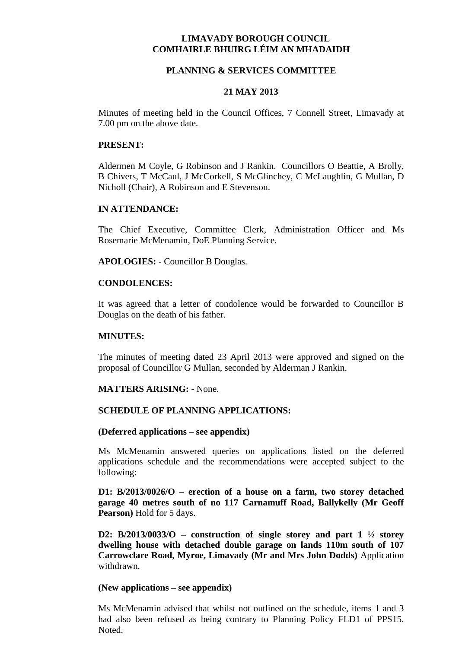# **LIMAVADY BOROUGH COUNCIL COMHAIRLE BHUIRG LÉIM AN MHADAIDH**

## **PLANNING & SERVICES COMMITTEE**

## **21 MAY 2013**

Minutes of meeting held in the Council Offices, 7 Connell Street, Limavady at 7.00 pm on the above date.

### **PRESENT:**

Aldermen M Coyle, G Robinson and J Rankin. Councillors O Beattie, A Brolly, B Chivers, T McCaul, J McCorkell, S McGlinchey, C McLaughlin, G Mullan, D Nicholl (Chair), A Robinson and E Stevenson.

## **IN ATTENDANCE:**

The Chief Executive, Committee Clerk, Administration Officer and Ms Rosemarie McMenamin, DoE Planning Service.

**APOLOGIES:** - Councillor B Douglas.

## **CONDOLENCES:**

It was agreed that a letter of condolence would be forwarded to Councillor B Douglas on the death of his father.

### **MINUTES:**

The minutes of meeting dated 23 April 2013 were approved and signed on the proposal of Councillor G Mullan, seconded by Alderman J Rankin.

### **MATTERS ARISING:** - None.

### **SCHEDULE OF PLANNING APPLICATIONS:**

### **(Deferred applications – see appendix)**

Ms McMenamin answered queries on applications listed on the deferred applications schedule and the recommendations were accepted subject to the following:

**D1: B/2013/0026/O – erection of a house on a farm, two storey detached garage 40 metres south of no 117 Carnamuff Road, Ballykelly (Mr Geoff Pearson)** Hold for 5 days.

**D2: B/2013/0033/O – construction of single storey and part 1 ½ storey dwelling house with detached double garage on lands 110m south of 107 Carrowclare Road, Myroe, Limavady (Mr and Mrs John Dodds)** Application withdrawn.

### **(New applications – see appendix)**

Ms McMenamin advised that whilst not outlined on the schedule, items 1 and 3 had also been refused as being contrary to Planning Policy FLD1 of PPS15. Noted.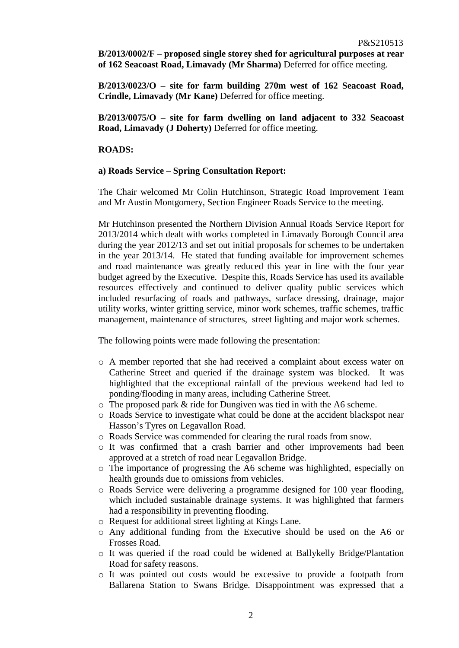**B/2013/0002/F – proposed single storey shed for agricultural purposes at rear of 162 Seacoast Road, Limavady (Mr Sharma)** Deferred for office meeting.

**B/2013/0023/O – site for farm building 270m west of 162 Seacoast Road, Crindle, Limavady (Mr Kane)** Deferred for office meeting.

**B/2013/0075/O – site for farm dwelling on land adjacent to 332 Seacoast Road, Limavady (J Doherty)** Deferred for office meeting.

## **ROADS:**

#### **a) Roads Service – Spring Consultation Report:**

The Chair welcomed Mr Colin Hutchinson, Strategic Road Improvement Team and Mr Austin Montgomery, Section Engineer Roads Service to the meeting.

Mr Hutchinson presented the Northern Division Annual Roads Service Report for 2013/2014 which dealt with works completed in Limavady Borough Council area during the year 2012/13 and set out initial proposals for schemes to be undertaken in the year 2013/14. He stated that funding available for improvement schemes and road maintenance was greatly reduced this year in line with the four year budget agreed by the Executive. Despite this, Roads Service has used its available resources effectively and continued to deliver quality public services which included resurfacing of roads and pathways, surface dressing, drainage, major utility works, winter gritting service, minor work schemes, traffic schemes, traffic management, maintenance of structures, street lighting and major work schemes.

The following points were made following the presentation:

- o A member reported that she had received a complaint about excess water on Catherine Street and queried if the drainage system was blocked. It was highlighted that the exceptional rainfall of the previous weekend had led to ponding/flooding in many areas, including Catherine Street.
- o The proposed park & ride for Dungiven was tied in with the A6 scheme.
- o Roads Service to investigate what could be done at the accident blackspot near Hasson's Tyres on Legavallon Road.
- o Roads Service was commended for clearing the rural roads from snow.
- o It was confirmed that a crash barrier and other improvements had been approved at a stretch of road near Legavallon Bridge.
- o The importance of progressing the A6 scheme was highlighted, especially on health grounds due to omissions from vehicles.
- o Roads Service were delivering a programme designed for 100 year flooding, which included sustainable drainage systems. It was highlighted that farmers had a responsibility in preventing flooding.
- o Request for additional street lighting at Kings Lane.
- o Any additional funding from the Executive should be used on the A6 or Frosses Road.
- o It was queried if the road could be widened at Ballykelly Bridge/Plantation Road for safety reasons.
- o It was pointed out costs would be excessive to provide a footpath from Ballarena Station to Swans Bridge. Disappointment was expressed that a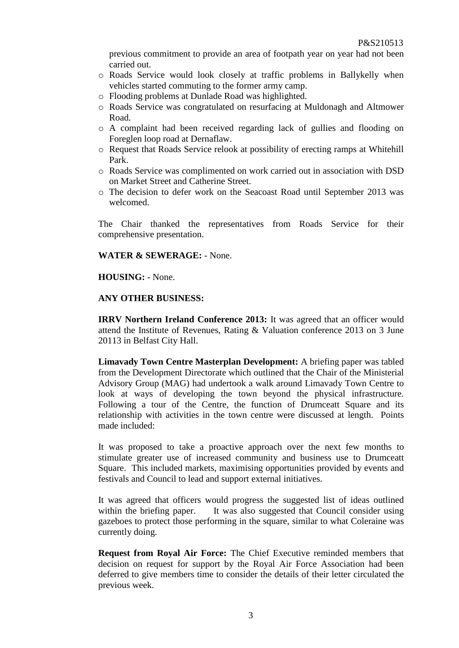previous commitment to provide an area of footpath year on year had not been carried out.

- o Roads Service would look closely at traffic problems in Ballykelly when vehicles started commuting to the former army camp.
- o Flooding problems at Dunlade Road was highlighted.
- o Roads Service was congratulated on resurfacing at Muldonagh and Altmower Road.
- o A complaint had been received regarding lack of gullies and flooding on Foreglen loop road at Dernaflaw.
- o Request that Roads Service relook at possibility of erecting ramps at Whitehill Park.
- o Roads Service was complimented on work carried out in association with DSD on Market Street and Catherine Street.
- o The decision to defer work on the Seacoast Road until September 2013 was welcomed.

The Chair thanked the representatives from Roads Service for their comprehensive presentation.

## **WATER & SEWERAGE:** - None.

## **HOUSING:** - None.

## **ANY OTHER BUSINESS:**

**IRRV Northern Ireland Conference 2013:** It was agreed that an officer would attend the Institute of Revenues, Rating & Valuation conference 2013 on 3 June 20113 in Belfast City Hall.

**Limavady Town Centre Masterplan Development:** A briefing paper was tabled from the Development Directorate which outlined that the Chair of the Ministerial Advisory Group (MAG) had undertook a walk around Limavady Town Centre to look at ways of developing the town beyond the physical infrastructure. Following a tour of the Centre, the function of Drumceatt Square and its relationship with activities in the town centre were discussed at length. Points made included:

It was proposed to take a proactive approach over the next few months to stimulate greater use of increased community and business use to Drumceatt Square. This included markets, maximising opportunities provided by events and festivals and Council to lead and support external initiatives.

It was agreed that officers would progress the suggested list of ideas outlined within the briefing paper. It was also suggested that Council consider using gazeboes to protect those performing in the square, similar to what Coleraine was currently doing.

**Request from Royal Air Force:** The Chief Executive reminded members that decision on request for support by the Royal Air Force Association had been deferred to give members time to consider the details of their letter circulated the previous week.